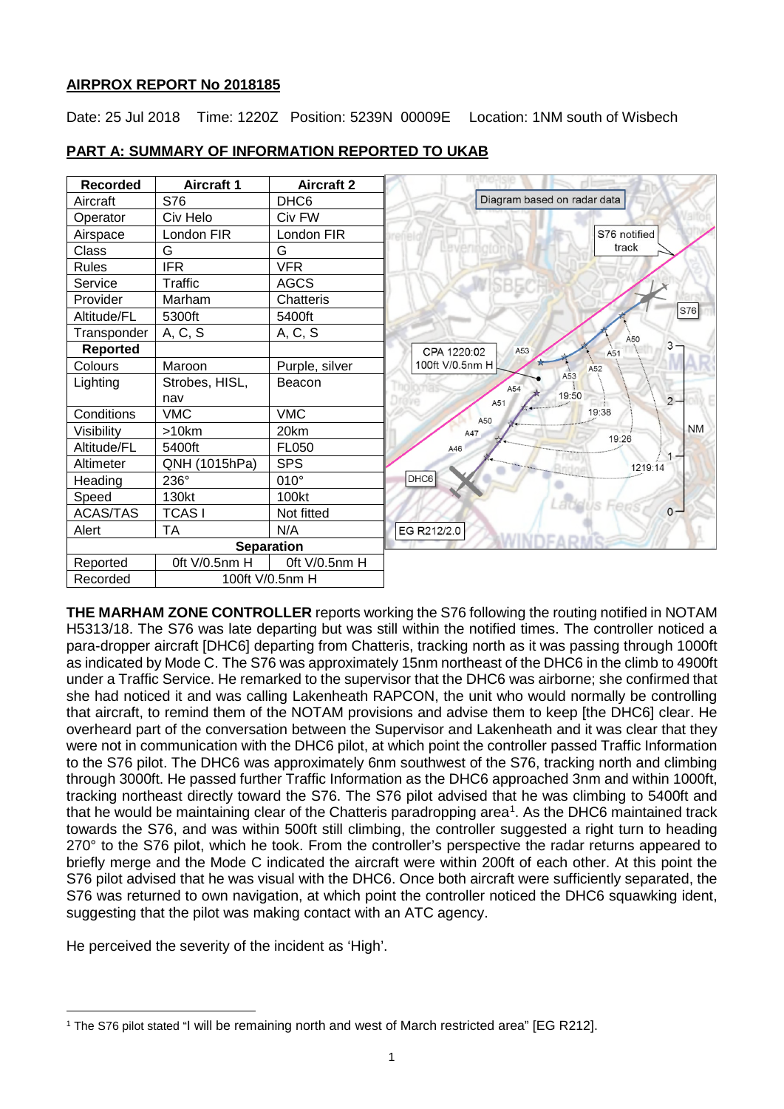# **AIRPROX REPORT No 2018185**

Date: 25 Jul 2018 Time: 1220Z Position: 5239N 00009E Location: 1NM south of Wisbech

| <b>Recorded</b> | <b>Aircraft 1</b> | <b>Aircraft 2</b> |
|-----------------|-------------------|-------------------|
| Aircraft        | S76               | DHC <sub>6</sub>  |
| Operator        | Civ Helo          | Civ FW            |
| Airspace        | London FIR        | London FIR        |
| Class           | G                 | G                 |
| <b>Rules</b>    | <b>IFR</b>        | <b>VFR</b>        |
| Service         | Traffic           | <b>AGCS</b>       |
| Provider        | Marham            | Chatteris         |
| Altitude/FL     | 5300ft            | 5400ft            |
| Transponder     | A, C, S           | A, C, S           |
| <b>Reported</b> |                   |                   |
| Colours         | Maroon            | Purple, silver    |
| Lighting        | Strobes, HISL,    | Beacon            |
|                 | nav               |                   |
| Conditions      | <b>VMC</b>        | <b>VMC</b>        |
| Visibility      | $>10$ km          | 20km              |
| Altitude/FL     | 5400ft            | <b>FL050</b>      |
| Altimeter       | QNH (1015hPa)     | <b>SPS</b>        |
| Heading         | 236°              | $010^\circ$       |
| Speed           | 130kt             | 100kt             |
| <b>ACAS/TAS</b> | <b>TCASI</b>      | Not fitted        |
| Alert           | <b>TA</b>         | N/A               |
|                 |                   | <b>Separation</b> |
| Reported        | Oft V/0.5nm H     | Oft V/0.5nm H     |
| Recorded        | 100ft V/0.5nm H   |                   |

# **PART A: SUMMARY OF INFORMATION REPORTED TO UKAB**

**THE MARHAM ZONE CONTROLLER** reports working the S76 following the routing notified in NOTAM H5313/18. The S76 was late departing but was still within the notified times. The controller noticed a para-dropper aircraft [DHC6] departing from Chatteris, tracking north as it was passing through 1000ft as indicated by Mode C. The S76 was approximately 15nm northeast of the DHC6 in the climb to 4900ft under a Traffic Service. He remarked to the supervisor that the DHC6 was airborne; she confirmed that she had noticed it and was calling Lakenheath RAPCON, the unit who would normally be controlling that aircraft, to remind them of the NOTAM provisions and advise them to keep [the DHC6] clear. He overheard part of the conversation between the Supervisor and Lakenheath and it was clear that they were not in communication with the DHC6 pilot, at which point the controller passed Traffic Information to the S76 pilot. The DHC6 was approximately 6nm southwest of the S76, tracking north and climbing through 3000ft. He passed further Traffic Information as the DHC6 approached 3nm and within 1000ft, tracking northeast directly toward the S76. The S76 pilot advised that he was climbing to 5400ft and that he would be maintaining clear of the Chatteris paradropping area<sup>[1](#page-0-0)</sup>. As the DHC6 maintained track towards the S76, and was within 500ft still climbing, the controller suggested a right turn to heading 270° to the S76 pilot, which he took. From the controller's perspective the radar returns appeared to briefly merge and the Mode C indicated the aircraft were within 200ft of each other. At this point the S76 pilot advised that he was visual with the DHC6. Once both aircraft were sufficiently separated, the S76 was returned to own navigation, at which point the controller noticed the DHC6 squawking ident, suggesting that the pilot was making contact with an ATC agency.

He perceived the severity of the incident as 'High'.

<span id="page-0-0"></span> $\overline{\phantom{a}}$ <sup>1</sup> The S76 pilot stated "I will be remaining north and west of March restricted area" [EG R212].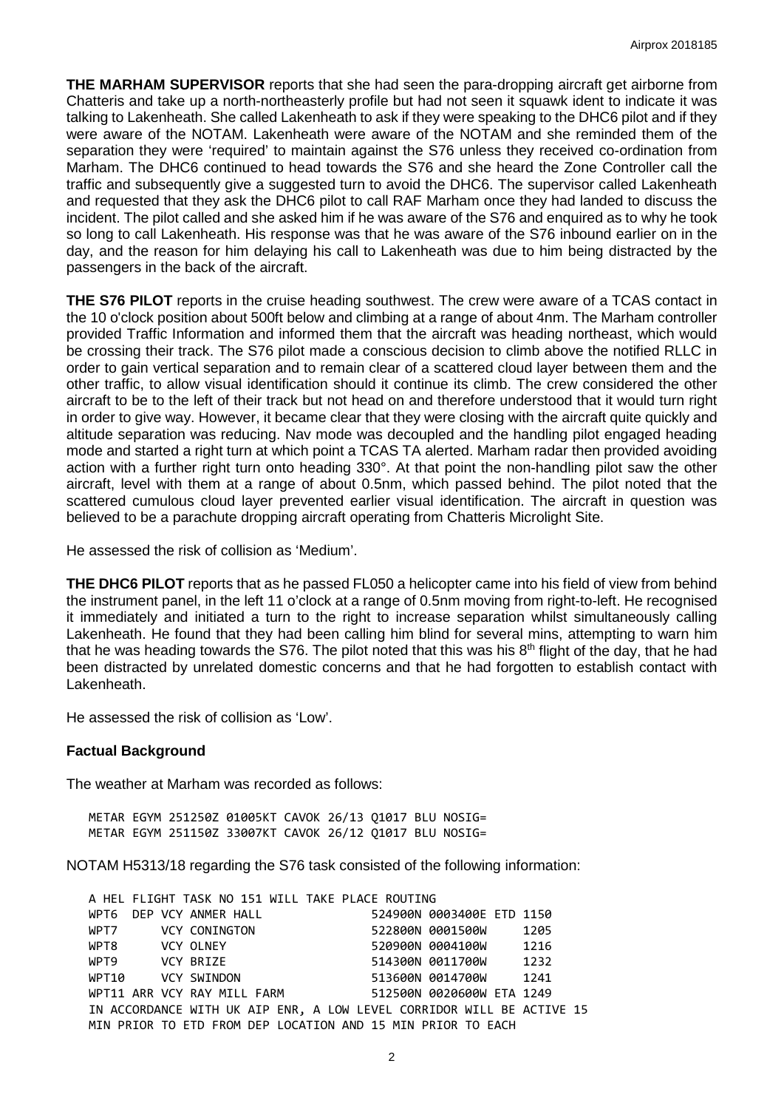**THE MARHAM SUPERVISOR** reports that she had seen the para-dropping aircraft get airborne from Chatteris and take up a north-northeasterly profile but had not seen it squawk ident to indicate it was talking to Lakenheath. She called Lakenheath to ask if they were speaking to the DHC6 pilot and if they were aware of the NOTAM. Lakenheath were aware of the NOTAM and she reminded them of the separation they were 'required' to maintain against the S76 unless they received co-ordination from Marham. The DHC6 continued to head towards the S76 and she heard the Zone Controller call the traffic and subsequently give a suggested turn to avoid the DHC6. The supervisor called Lakenheath and requested that they ask the DHC6 pilot to call RAF Marham once they had landed to discuss the incident. The pilot called and she asked him if he was aware of the S76 and enquired as to why he took so long to call Lakenheath. His response was that he was aware of the S76 inbound earlier on in the day, and the reason for him delaying his call to Lakenheath was due to him being distracted by the passengers in the back of the aircraft.

**THE S76 PILOT** reports in the cruise heading southwest. The crew were aware of a TCAS contact in the 10 o'clock position about 500ft below and climbing at a range of about 4nm. The Marham controller provided Traffic Information and informed them that the aircraft was heading northeast, which would be crossing their track. The S76 pilot made a conscious decision to climb above the notified RLLC in order to gain vertical separation and to remain clear of a scattered cloud layer between them and the other traffic, to allow visual identification should it continue its climb. The crew considered the other aircraft to be to the left of their track but not head on and therefore understood that it would turn right in order to give way. However, it became clear that they were closing with the aircraft quite quickly and altitude separation was reducing. Nav mode was decoupled and the handling pilot engaged heading mode and started a right turn at which point a TCAS TA alerted. Marham radar then provided avoiding action with a further right turn onto heading 330°. At that point the non-handling pilot saw the other aircraft, level with them at a range of about 0.5nm, which passed behind. The pilot noted that the scattered cumulous cloud layer prevented earlier visual identification. The aircraft in question was believed to be a parachute dropping aircraft operating from Chatteris Microlight Site.

He assessed the risk of collision as 'Medium'.

**THE DHC6 PILOT** reports that as he passed FL050 a helicopter came into his field of view from behind the instrument panel, in the left 11 o'clock at a range of 0.5nm moving from right-to-left. He recognised it immediately and initiated a turn to the right to increase separation whilst simultaneously calling Lakenheath. He found that they had been calling him blind for several mins, attempting to warn him that he was heading towards the S76. The pilot noted that this was his  $8<sup>th</sup>$  flight of the day, that he had been distracted by unrelated domestic concerns and that he had forgotten to establish contact with Lakenheath.

He assessed the risk of collision as 'Low'.

#### **Factual Background**

The weather at Marham was recorded as follows:

METAR EGYM 251250Z 01005KT CAVOK 26/13 Q1017 BLU NOSIG= METAR EGYM 251150Z 33007KT CAVOK 26/12 Q1017 BLU NOSIG=

NOTAM H5313/18 regarding the S76 task consisted of the following information:

|                         | A HEL FLIGHT TASK NO 151 WILL TAKE PLACE ROUTING |  |                                                                       |      |  |
|-------------------------|--------------------------------------------------|--|-----------------------------------------------------------------------|------|--|
| WPT6 DEP VCY ANMER HALL |                                                  |  | 524900N 0003400E ETD 1150                                             |      |  |
| WPT7 VCY CONINGTON      |                                                  |  | 522800N 0001500W                                                      | 1205 |  |
| WPT8 VCY OLNEY          |                                                  |  | 520900N 0004100W 1216                                                 |      |  |
| WPT9 VCY BRIZE          |                                                  |  | 514300N 0011700W 1232                                                 |      |  |
| WPT10 VCY SWINDON       |                                                  |  | 513600N 0014700W 1241                                                 |      |  |
|                         | WPT11 ARR VCY RAY MILL FARM                      |  | 512500N 0020600W ETA 1249                                             |      |  |
|                         |                                                  |  | IN ACCORDANCE WITH UK AIP ENR, A LOW LEVEL CORRIDOR WILL BE ACTIVE 15 |      |  |
|                         |                                                  |  | MIN PRIOR TO ETD FROM DEP LOCATION AND 15 MIN PRIOR TO EACH           |      |  |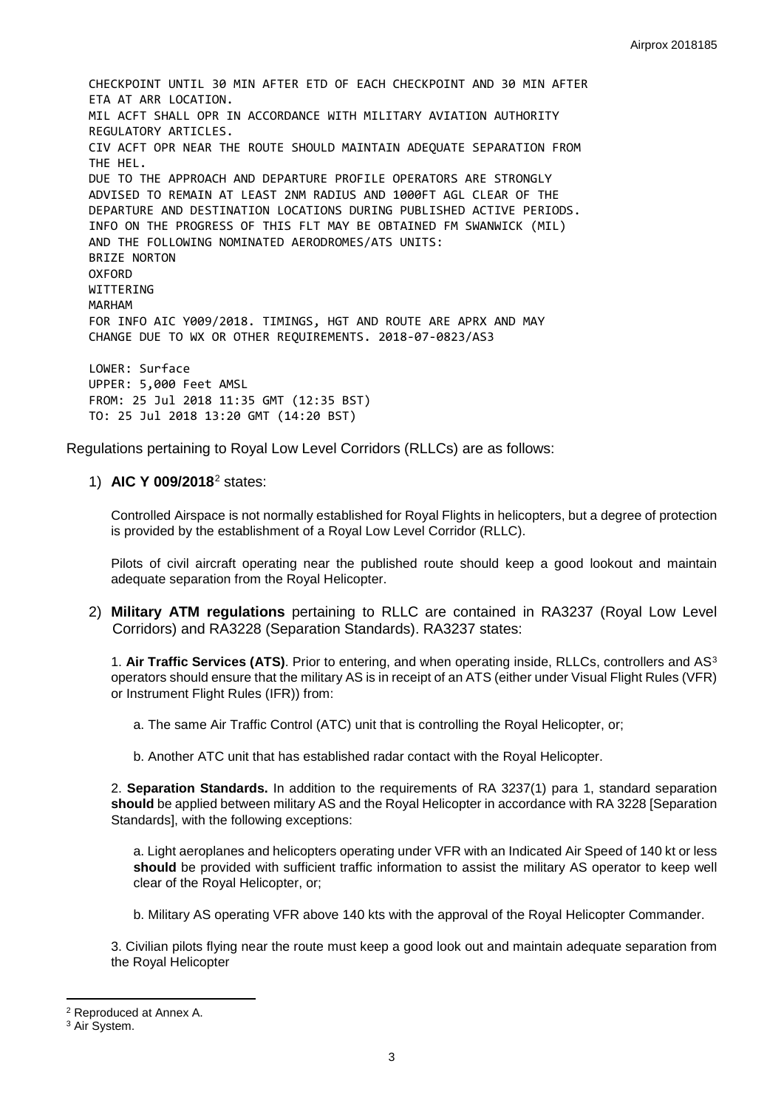CHECKPOINT UNTIL 30 MIN AFTER ETD OF EACH CHECKPOINT AND 30 MIN AFTER ETA AT ARR LOCATION. MIL ACFT SHALL OPR IN ACCORDANCE WITH MILITARY AVIATION AUTHORITY REGULATORY ARTICLES. CIV ACFT OPR NEAR THE ROUTE SHOULD MAINTAIN ADEQUATE SEPARATION FROM THE HEL. DUE TO THE APPROACH AND DEPARTURE PROFILE OPERATORS ARE STRONGLY ADVISED TO REMAIN AT LEAST 2NM RADIUS AND 1000FT AGL CLEAR OF THE DEPARTURE AND DESTINATION LOCATIONS DURING PUBLISHED ACTIVE PERIODS. INFO ON THE PROGRESS OF THIS FLT MAY BE OBTAINED FM SWANWICK (MIL) AND THE FOLLOWING NOMINATED AERODROMES/ATS UNITS: BRIZE NORTON **OXFORD** WITTERING MARHAM FOR INFO AIC Y009/2018. TIMINGS, HGT AND ROUTE ARE APRX AND MAY CHANGE DUE TO WX OR OTHER REQUIREMENTS. 2018-07-0823/AS3 LOWER: Surface UPPER: 5,000 Feet AMSL FROM: 25 Jul 2018 11:35 GMT (12:35 BST) TO: 25 Jul 2018 13:20 GMT (14:20 BST)

Regulations pertaining to Royal Low Level Corridors (RLLCs) are as follows:

#### 1) **AIC Y 009/2018**[2](#page-2-0) states:

Controlled Airspace is not normally established for Royal Flights in helicopters, but a degree of protection is provided by the establishment of a Royal Low Level Corridor (RLLC).

Pilots of civil aircraft operating near the published route should keep a good lookout and maintain adequate separation from the Royal Helicopter.

2) **Military ATM regulations** pertaining to RLLC are contained in RA3237 (Royal Low Level Corridors) and RA3228 (Separation Standards). RA3237 states:

1. **Air Traffic Services (ATS)**. Prior to entering, and when operating inside, RLLCs, controllers and AS[3](#page-2-1) operators should ensure that the military AS is in receipt of an ATS (either under Visual Flight Rules (VFR) or Instrument Flight Rules (IFR)) from:

- a. The same Air Traffic Control (ATC) unit that is controlling the Royal Helicopter, or;
- b. Another ATC unit that has established radar contact with the Royal Helicopter.

2. **Separation Standards.** In addition to the requirements of RA 3237(1) para 1, standard separation **should** be applied between military AS and the Royal Helicopter in accordance with RA 3228 [Separation Standards], with the following exceptions:

a. Light aeroplanes and helicopters operating under VFR with an Indicated Air Speed of 140 kt or less **should** be provided with sufficient traffic information to assist the military AS operator to keep well clear of the Royal Helicopter, or;

b. Military AS operating VFR above 140 kts with the approval of the Royal Helicopter Commander.

3. Civilian pilots flying near the route must keep a good look out and maintain adequate separation from the Royal Helicopter

l

<span id="page-2-0"></span><sup>2</sup> Reproduced at Annex A.

<span id="page-2-1"></span><sup>&</sup>lt;sup>3</sup> Air System.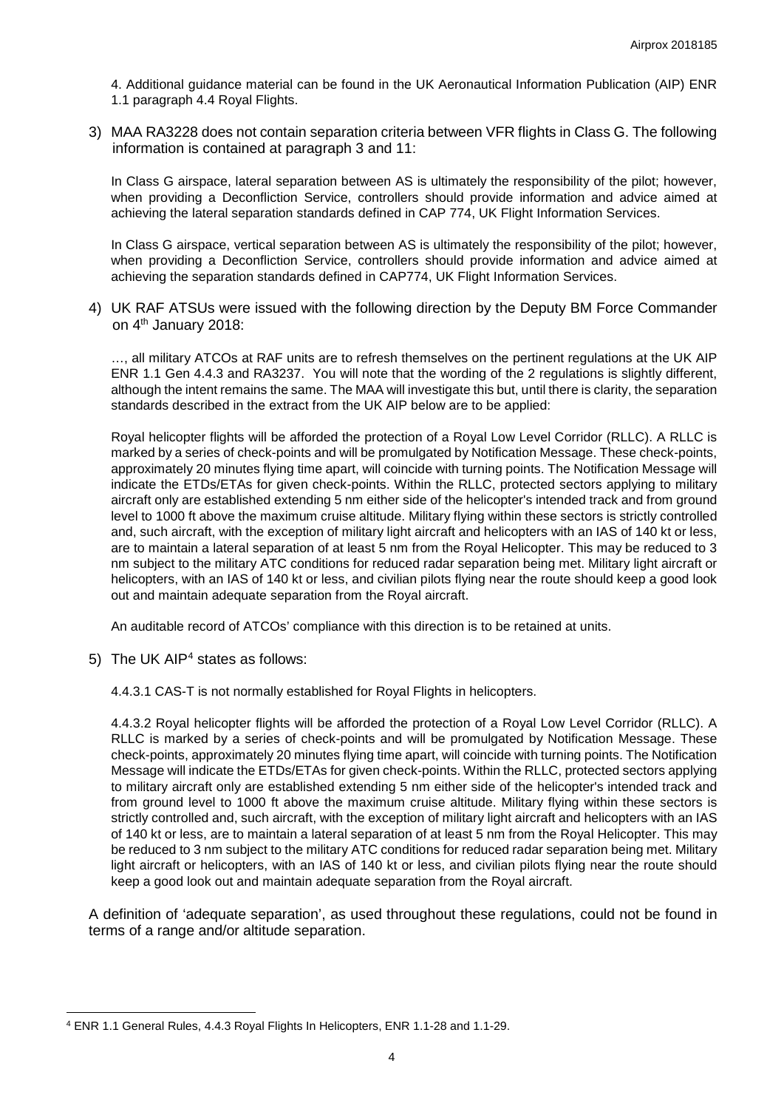4. Additional guidance material can be found in the UK Aeronautical Information Publication (AIP) ENR 1.1 paragraph 4.4 Royal Flights.

3) MAA RA3228 does not contain separation criteria between VFR flights in Class G. The following information is contained at paragraph 3 and 11:

In Class G airspace, lateral separation between AS is ultimately the responsibility of the pilot; however, when providing a Deconfliction Service, controllers should provide information and advice aimed at achieving the lateral separation standards defined in CAP 774, UK Flight Information Services.

In Class G airspace, vertical separation between AS is ultimately the responsibility of the pilot; however, when providing a Deconfliction Service, controllers should provide information and advice aimed at achieving the separation standards defined in CAP774, UK Flight Information Services.

4) UK RAF ATSUs were issued with the following direction by the Deputy BM Force Commander on 4<sup>th</sup> January 2018:

…, all military ATCOs at RAF units are to refresh themselves on the pertinent regulations at the UK AIP ENR 1.1 Gen 4.4.3 and RA3237. You will note that the wording of the 2 regulations is slightly different, although the intent remains the same. The MAA will investigate this but, until there is clarity, the separation standards described in the extract from the UK AIP below are to be applied:

Royal helicopter flights will be afforded the protection of a Royal Low Level Corridor (RLLC). A RLLC is marked by a series of check-points and will be promulgated by Notification Message. These check-points, approximately 20 minutes flying time apart, will coincide with turning points. The Notification Message will indicate the ETDs/ETAs for given check-points. Within the RLLC, protected sectors applying to military aircraft only are established extending 5 nm either side of the helicopter's intended track and from ground level to 1000 ft above the maximum cruise altitude. Military flying within these sectors is strictly controlled and, such aircraft, with the exception of military light aircraft and helicopters with an IAS of 140 kt or less, are to maintain a lateral separation of at least 5 nm from the Royal Helicopter. This may be reduced to 3 nm subject to the military ATC conditions for reduced radar separation being met. Military light aircraft or helicopters, with an IAS of 140 kt or less, and civilian pilots flying near the route should keep a good look out and maintain adequate separation from the Royal aircraft.

An auditable record of ATCOs' compliance with this direction is to be retained at units.

5) The UK AIP[4](#page-3-0) states as follows:

 $\overline{\phantom{a}}$ 

4.4.3.1 CAS-T is not normally established for Royal Flights in helicopters.

4.4.3.2 Royal helicopter flights will be afforded the protection of a Royal Low Level Corridor (RLLC). A RLLC is marked by a series of check-points and will be promulgated by Notification Message. These check-points, approximately 20 minutes flying time apart, will coincide with turning points. The Notification Message will indicate the ETDs/ETAs for given check-points. Within the RLLC, protected sectors applying to military aircraft only are established extending 5 nm either side of the helicopter's intended track and from ground level to 1000 ft above the maximum cruise altitude. Military flying within these sectors is strictly controlled and, such aircraft, with the exception of military light aircraft and helicopters with an IAS of 140 kt or less, are to maintain a lateral separation of at least 5 nm from the Royal Helicopter. This may be reduced to 3 nm subject to the military ATC conditions for reduced radar separation being met. Military light aircraft or helicopters, with an IAS of 140 kt or less, and civilian pilots flying near the route should keep a good look out and maintain adequate separation from the Royal aircraft.

A definition of 'adequate separation', as used throughout these regulations, could not be found in terms of a range and/or altitude separation.

<span id="page-3-0"></span><sup>4</sup> ENR 1.1 General Rules, 4.4.3 Royal Flights In Helicopters, ENR 1.1-28 and 1.1-29.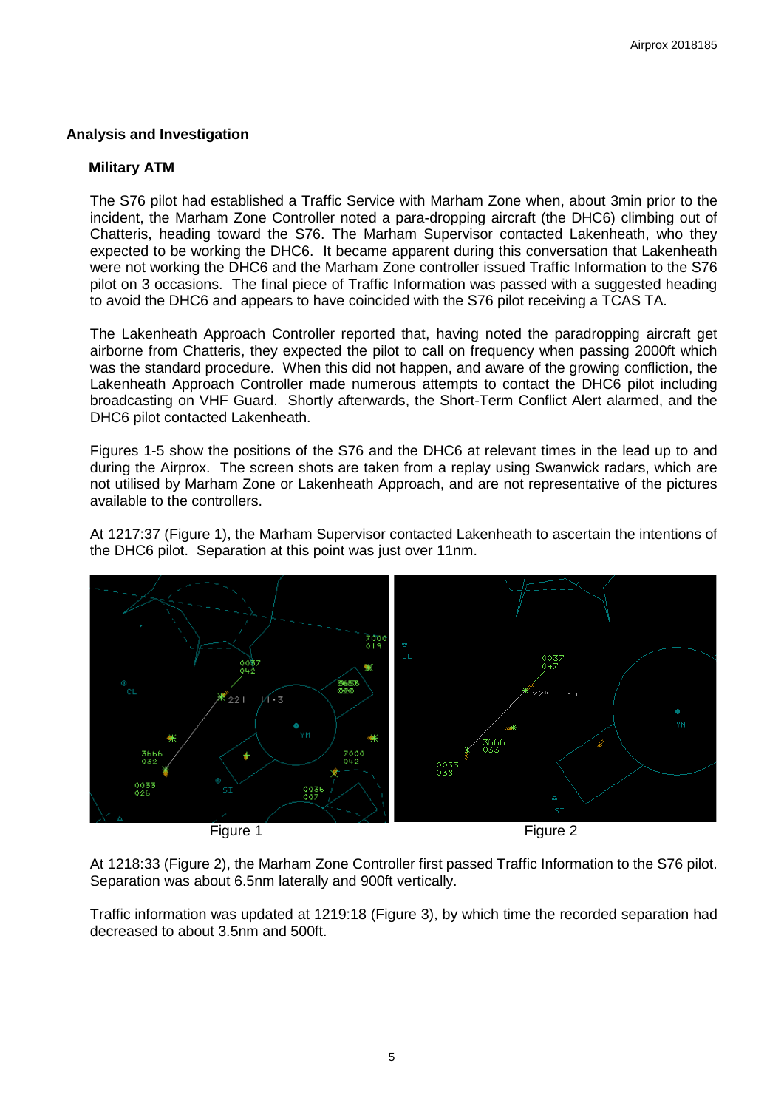# **Analysis and Investigation**

# **Military ATM**

The S76 pilot had established a Traffic Service with Marham Zone when, about 3min prior to the incident, the Marham Zone Controller noted a para-dropping aircraft (the DHC6) climbing out of Chatteris, heading toward the S76. The Marham Supervisor contacted Lakenheath, who they expected to be working the DHC6. It became apparent during this conversation that Lakenheath were not working the DHC6 and the Marham Zone controller issued Traffic Information to the S76 pilot on 3 occasions. The final piece of Traffic Information was passed with a suggested heading to avoid the DHC6 and appears to have coincided with the S76 pilot receiving a TCAS TA.

The Lakenheath Approach Controller reported that, having noted the paradropping aircraft get airborne from Chatteris, they expected the pilot to call on frequency when passing 2000ft which was the standard procedure. When this did not happen, and aware of the growing confliction, the Lakenheath Approach Controller made numerous attempts to contact the DHC6 pilot including broadcasting on VHF Guard. Shortly afterwards, the Short-Term Conflict Alert alarmed, and the DHC6 pilot contacted Lakenheath.

Figures 1-5 show the positions of the S76 and the DHC6 at relevant times in the lead up to and during the Airprox. The screen shots are taken from a replay using Swanwick radars, which are not utilised by Marham Zone or Lakenheath Approach, and are not representative of the pictures available to the controllers.

At 1217:37 (Figure 1), the Marham Supervisor contacted Lakenheath to ascertain the intentions of the DHC6 pilot. Separation at this point was just over 11nm.



At 1218:33 (Figure 2), the Marham Zone Controller first passed Traffic Information to the S76 pilot. Separation was about 6.5nm laterally and 900ft vertically.

Traffic information was updated at 1219:18 (Figure 3), by which time the recorded separation had decreased to about 3.5nm and 500ft.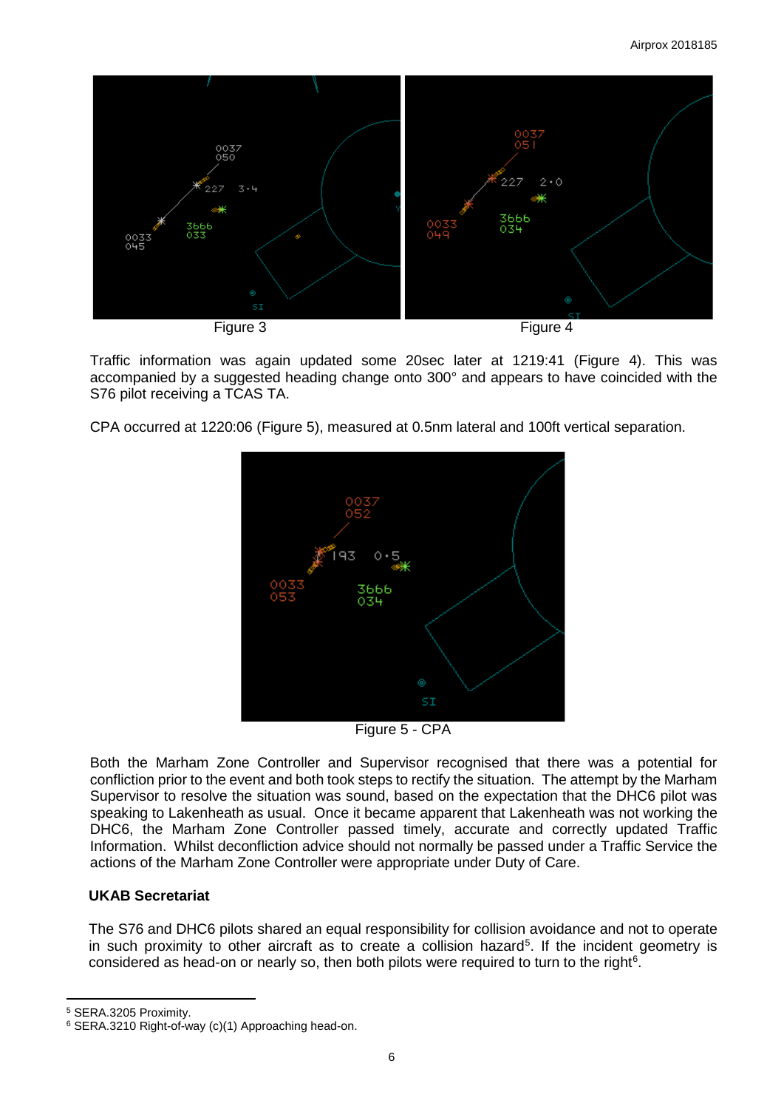

Traffic information was again updated some 20sec later at 1219:41 (Figure 4). This was accompanied by a suggested heading change onto 300° and appears to have coincided with the S76 pilot receiving a TCAS TA.

CPA occurred at 1220:06 (Figure 5), measured at 0.5nm lateral and 100ft vertical separation.



Figure 5 - CPA

Both the Marham Zone Controller and Supervisor recognised that there was a potential for confliction prior to the event and both took steps to rectify the situation. The attempt by the Marham Supervisor to resolve the situation was sound, based on the expectation that the DHC6 pilot was speaking to Lakenheath as usual. Once it became apparent that Lakenheath was not working the DHC6, the Marham Zone Controller passed timely, accurate and correctly updated Traffic Information. Whilst deconfliction advice should not normally be passed under a Traffic Service the actions of the Marham Zone Controller were appropriate under Duty of Care.

# **UKAB Secretariat**

The S76 and DHC6 pilots shared an equal responsibility for collision avoidance and not to operate in such proximity to other aircraft as to create a collision hazard<sup>[5](#page-5-0)</sup>. If the incident geometry is considered as head-on or nearly so, then both pilots were required to turn to the right<sup>[6](#page-5-1)</sup>.

l

<span id="page-5-0"></span><sup>5</sup> SERA.3205 Proximity.

<span id="page-5-1"></span><sup>6</sup> SERA.3210 Right-of-way (c)(1) Approaching head-on.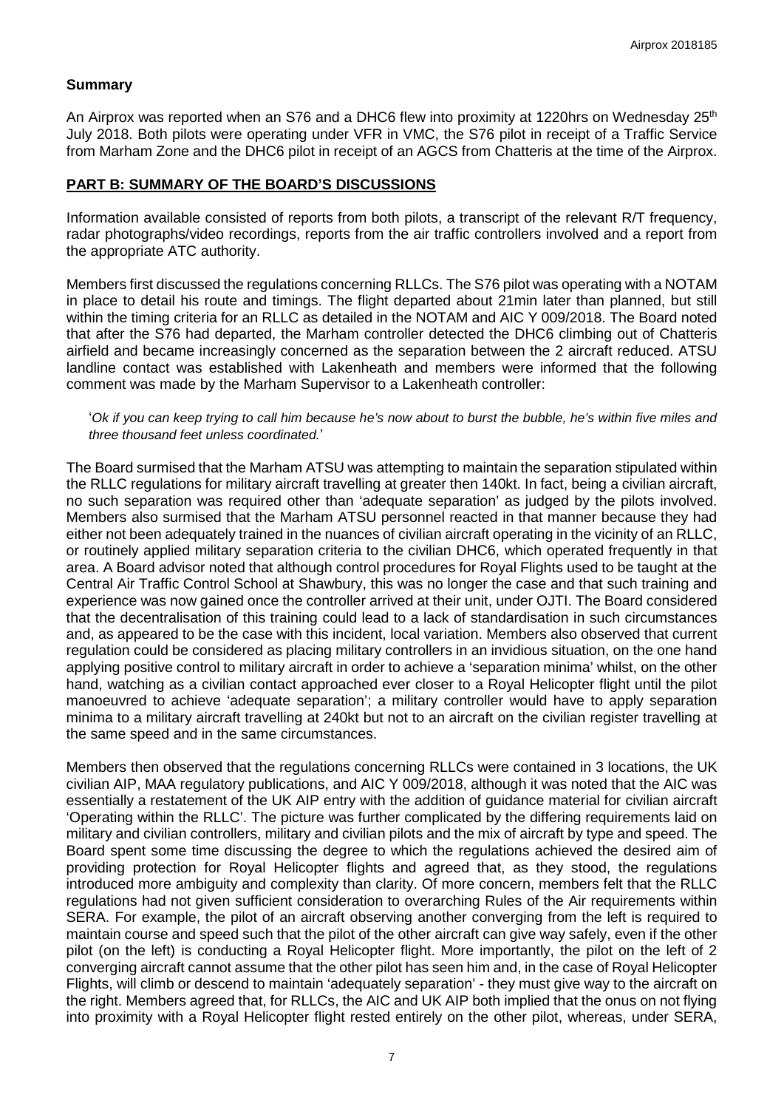### **Summary**

An Airprox was reported when an S76 and a DHC6 flew into proximity at 1220hrs on Wednesday 25<sup>th</sup> July 2018. Both pilots were operating under VFR in VMC, the S76 pilot in receipt of a Traffic Service from Marham Zone and the DHC6 pilot in receipt of an AGCS from Chatteris at the time of the Airprox.

## **PART B: SUMMARY OF THE BOARD'S DISCUSSIONS**

Information available consisted of reports from both pilots, a transcript of the relevant R/T frequency, radar photographs/video recordings, reports from the air traffic controllers involved and a report from the appropriate ATC authority.

Members first discussed the regulations concerning RLLCs. The S76 pilot was operating with a NOTAM in place to detail his route and timings. The flight departed about 21min later than planned, but still within the timing criteria for an RLLC as detailed in the NOTAM and AIC Y 009/2018. The Board noted that after the S76 had departed, the Marham controller detected the DHC6 climbing out of Chatteris airfield and became increasingly concerned as the separation between the 2 aircraft reduced. ATSU landline contact was established with Lakenheath and members were informed that the following comment was made by the Marham Supervisor to a Lakenheath controller:

### '*Ok if you can keep trying to call him because he's now about to burst the bubble, he's within five miles and three thousand feet unless coordinated.*'

The Board surmised that the Marham ATSU was attempting to maintain the separation stipulated within the RLLC regulations for military aircraft travelling at greater then 140kt. In fact, being a civilian aircraft, no such separation was required other than 'adequate separation' as judged by the pilots involved. Members also surmised that the Marham ATSU personnel reacted in that manner because they had either not been adequately trained in the nuances of civilian aircraft operating in the vicinity of an RLLC, or routinely applied military separation criteria to the civilian DHC6, which operated frequently in that area. A Board advisor noted that although control procedures for Royal Flights used to be taught at the Central Air Traffic Control School at Shawbury, this was no longer the case and that such training and experience was now gained once the controller arrived at their unit, under OJTI. The Board considered that the decentralisation of this training could lead to a lack of standardisation in such circumstances and, as appeared to be the case with this incident, local variation. Members also observed that current regulation could be considered as placing military controllers in an invidious situation, on the one hand applying positive control to military aircraft in order to achieve a 'separation minima' whilst, on the other hand, watching as a civilian contact approached ever closer to a Royal Helicopter flight until the pilot manoeuvred to achieve 'adequate separation'; a military controller would have to apply separation minima to a military aircraft travelling at 240kt but not to an aircraft on the civilian register travelling at the same speed and in the same circumstances.

Members then observed that the regulations concerning RLLCs were contained in 3 locations, the UK civilian AIP, MAA regulatory publications, and AIC Y 009/2018, although it was noted that the AIC was essentially a restatement of the UK AIP entry with the addition of guidance material for civilian aircraft 'Operating within the RLLC'. The picture was further complicated by the differing requirements laid on military and civilian controllers, military and civilian pilots and the mix of aircraft by type and speed. The Board spent some time discussing the degree to which the regulations achieved the desired aim of providing protection for Royal Helicopter flights and agreed that, as they stood, the regulations introduced more ambiguity and complexity than clarity. Of more concern, members felt that the RLLC regulations had not given sufficient consideration to overarching Rules of the Air requirements within SERA. For example, the pilot of an aircraft observing another converging from the left is required to maintain course and speed such that the pilot of the other aircraft can give way safely, even if the other pilot (on the left) is conducting a Royal Helicopter flight. More importantly, the pilot on the left of 2 converging aircraft cannot assume that the other pilot has seen him and, in the case of Royal Helicopter Flights, will climb or descend to maintain 'adequately separation' - they must give way to the aircraft on the right. Members agreed that, for RLLCs, the AIC and UK AIP both implied that the onus on not flying into proximity with a Royal Helicopter flight rested entirely on the other pilot, whereas, under SERA,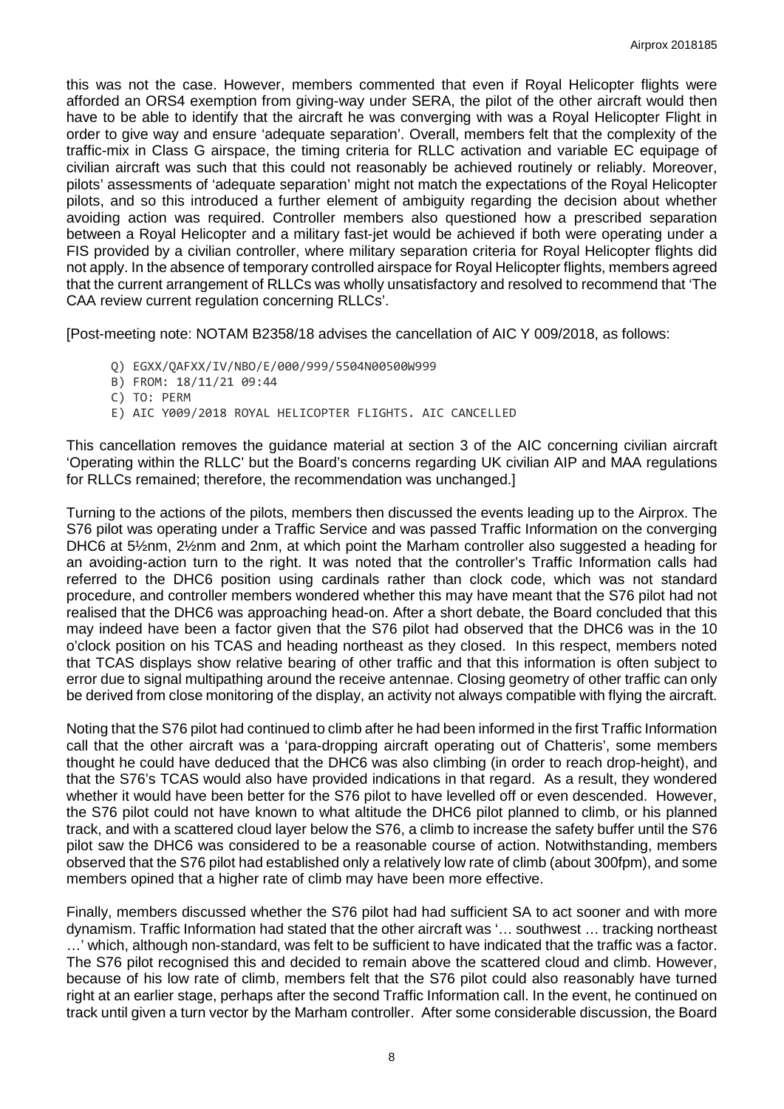this was not the case. However, members commented that even if Royal Helicopter flights were afforded an ORS4 exemption from giving-way under SERA, the pilot of the other aircraft would then have to be able to identify that the aircraft he was converging with was a Royal Helicopter Flight in order to give way and ensure 'adequate separation'. Overall, members felt that the complexity of the traffic-mix in Class G airspace, the timing criteria for RLLC activation and variable EC equipage of civilian aircraft was such that this could not reasonably be achieved routinely or reliably. Moreover, pilots' assessments of 'adequate separation' might not match the expectations of the Royal Helicopter pilots, and so this introduced a further element of ambiguity regarding the decision about whether avoiding action was required. Controller members also questioned how a prescribed separation between a Royal Helicopter and a military fast-jet would be achieved if both were operating under a FIS provided by a civilian controller, where military separation criteria for Royal Helicopter flights did not apply. In the absence of temporary controlled airspace for Royal Helicopter flights, members agreed that the current arrangement of RLLCs was wholly unsatisfactory and resolved to recommend that 'The CAA review current regulation concerning RLLCs'.

[Post-meeting note: NOTAM B2358/18 advises the cancellation of AIC Y 009/2018, as follows:

- Q) EGXX/QAFXX/IV/NBO/E/000/999/5504N00500W999
- B) FROM: 18/11/21 09:44
- C) TO: PERM
- E) AIC Y009/2018 ROYAL HELICOPTER FLIGHTS. AIC CANCELLED

This cancellation removes the guidance material at section 3 of the AIC concerning civilian aircraft 'Operating within the RLLC' but the Board's concerns regarding UK civilian AIP and MAA regulations for RLLCs remained; therefore, the recommendation was unchanged.]

Turning to the actions of the pilots, members then discussed the events leading up to the Airprox. The S76 pilot was operating under a Traffic Service and was passed Traffic Information on the converging DHC6 at 5½nm, 2½nm and 2nm, at which point the Marham controller also suggested a heading for an avoiding-action turn to the right. It was noted that the controller's Traffic Information calls had referred to the DHC6 position using cardinals rather than clock code, which was not standard procedure, and controller members wondered whether this may have meant that the S76 pilot had not realised that the DHC6 was approaching head-on. After a short debate, the Board concluded that this may indeed have been a factor given that the S76 pilot had observed that the DHC6 was in the 10 o'clock position on his TCAS and heading northeast as they closed. In this respect, members noted that TCAS displays show relative bearing of other traffic and that this information is often subject to error due to signal multipathing around the receive antennae. Closing geometry of other traffic can only be derived from close monitoring of the display, an activity not always compatible with flying the aircraft.

Noting that the S76 pilot had continued to climb after he had been informed in the first Traffic Information call that the other aircraft was a 'para-dropping aircraft operating out of Chatteris', some members thought he could have deduced that the DHC6 was also climbing (in order to reach drop-height), and that the S76's TCAS would also have provided indications in that regard. As a result, they wondered whether it would have been better for the S76 pilot to have levelled off or even descended. However, the S76 pilot could not have known to what altitude the DHC6 pilot planned to climb, or his planned track, and with a scattered cloud layer below the S76, a climb to increase the safety buffer until the S76 pilot saw the DHC6 was considered to be a reasonable course of action. Notwithstanding, members observed that the S76 pilot had established only a relatively low rate of climb (about 300fpm), and some members opined that a higher rate of climb may have been more effective.

Finally, members discussed whether the S76 pilot had had sufficient SA to act sooner and with more dynamism. Traffic Information had stated that the other aircraft was '… southwest … tracking northeast …' which, although non-standard, was felt to be sufficient to have indicated that the traffic was a factor. The S76 pilot recognised this and decided to remain above the scattered cloud and climb. However, because of his low rate of climb, members felt that the S76 pilot could also reasonably have turned right at an earlier stage, perhaps after the second Traffic Information call. In the event, he continued on track until given a turn vector by the Marham controller. After some considerable discussion, the Board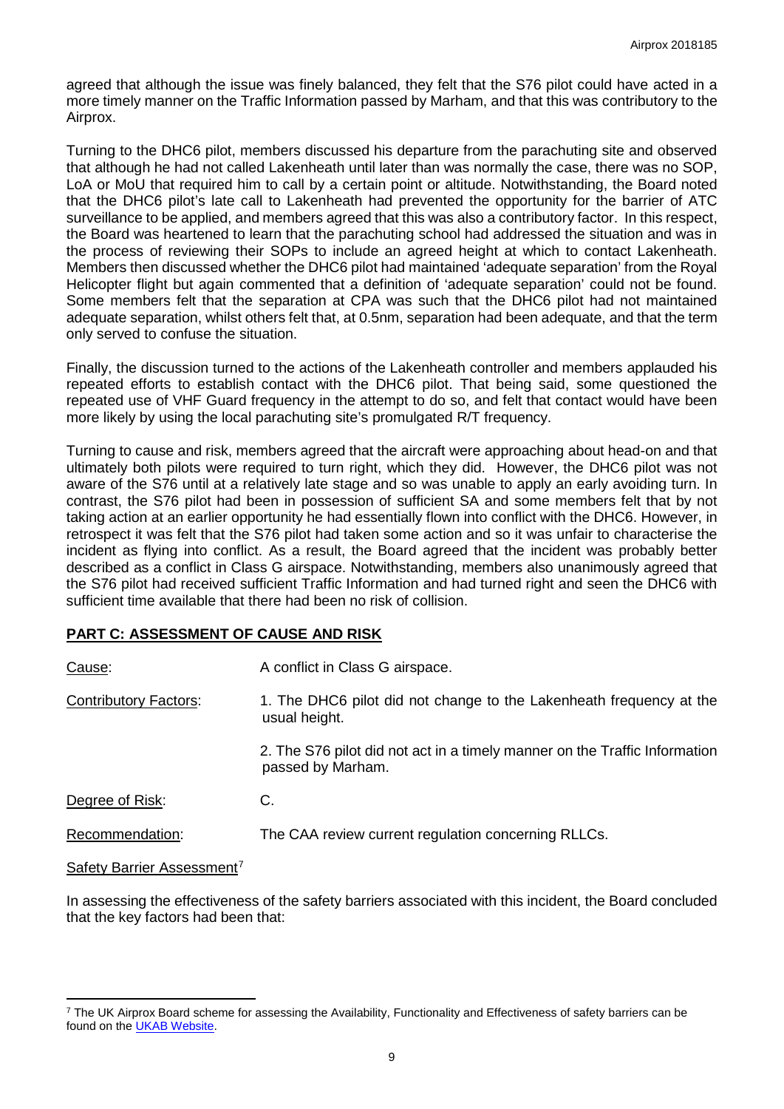agreed that although the issue was finely balanced, they felt that the S76 pilot could have acted in a more timely manner on the Traffic Information passed by Marham, and that this was contributory to the Airprox.

Turning to the DHC6 pilot, members discussed his departure from the parachuting site and observed that although he had not called Lakenheath until later than was normally the case, there was no SOP, LoA or MoU that required him to call by a certain point or altitude. Notwithstanding, the Board noted that the DHC6 pilot's late call to Lakenheath had prevented the opportunity for the barrier of ATC surveillance to be applied, and members agreed that this was also a contributory factor. In this respect, the Board was heartened to learn that the parachuting school had addressed the situation and was in the process of reviewing their SOPs to include an agreed height at which to contact Lakenheath. Members then discussed whether the DHC6 pilot had maintained 'adequate separation' from the Royal Helicopter flight but again commented that a definition of 'adequate separation' could not be found. Some members felt that the separation at CPA was such that the DHC6 pilot had not maintained adequate separation, whilst others felt that, at 0.5nm, separation had been adequate, and that the term only served to confuse the situation.

Finally, the discussion turned to the actions of the Lakenheath controller and members applauded his repeated efforts to establish contact with the DHC6 pilot. That being said, some questioned the repeated use of VHF Guard frequency in the attempt to do so, and felt that contact would have been more likely by using the local parachuting site's promulgated R/T frequency.

Turning to cause and risk, members agreed that the aircraft were approaching about head-on and that ultimately both pilots were required to turn right, which they did. However, the DHC6 pilot was not aware of the S76 until at a relatively late stage and so was unable to apply an early avoiding turn. In contrast, the S76 pilot had been in possession of sufficient SA and some members felt that by not taking action at an earlier opportunity he had essentially flown into conflict with the DHC6. However, in retrospect it was felt that the S76 pilot had taken some action and so it was unfair to characterise the incident as flying into conflict. As a result, the Board agreed that the incident was probably better described as a conflict in Class G airspace. Notwithstanding, members also unanimously agreed that the S76 pilot had received sufficient Traffic Information and had turned right and seen the DHC6 with sufficient time available that there had been no risk of collision.

# **PART C: ASSESSMENT OF CAUSE AND RISK**

| Cause:                       | A conflict in Class G airspace.                                                                 |  |  |  |
|------------------------------|-------------------------------------------------------------------------------------------------|--|--|--|
| <b>Contributory Factors:</b> | 1. The DHC6 pilot did not change to the Lakenheath frequency at the<br>usual height.            |  |  |  |
|                              | 2. The S76 pilot did not act in a timely manner on the Traffic Information<br>passed by Marham. |  |  |  |
| Degree of Risk:              | C.                                                                                              |  |  |  |
| Recommendation:              | The CAA review current regulation concerning RLLCs.                                             |  |  |  |

Safety Barrier Assessment<sup>[7](#page-8-0)</sup>

l

In assessing the effectiveness of the safety barriers associated with this incident, the Board concluded that the key factors had been that:

<span id="page-8-0"></span><sup>&</sup>lt;sup>7</sup> The UK Airprox Board scheme for assessing the Availability, Functionality and Effectiveness of safety barriers can be found on the [UKAB Website.](http://www.airproxboard.org.uk/Learn-more/Airprox-Barrier-Assessment/)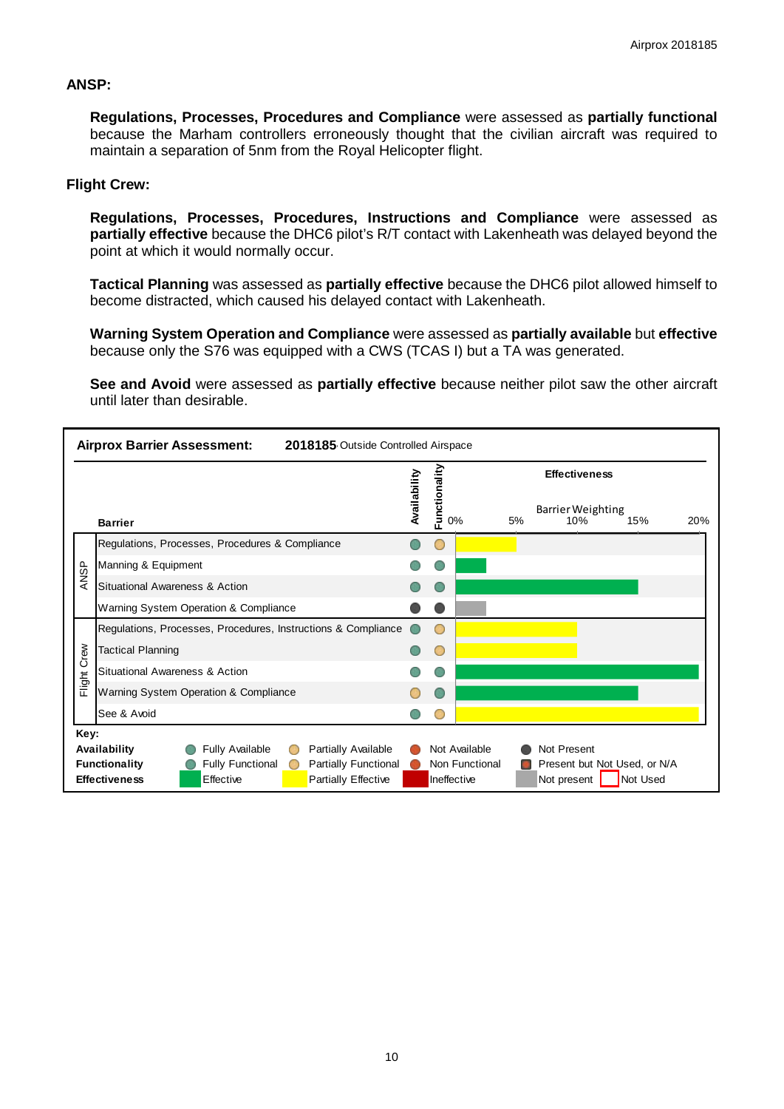## **ANSP:**

**Regulations, Processes, Procedures and Compliance** were assessed as **partially functional**  because the Marham controllers erroneously thought that the civilian aircraft was required to maintain a separation of 5nm from the Royal Helicopter flight.

### **Flight Crew:**

**Regulations, Processes, Procedures, Instructions and Compliance** were assessed as **partially effective** because the DHC6 pilot's R/T contact with Lakenheath was delayed beyond the point at which it would normally occur.

**Tactical Planning** was assessed as **partially effective** because the DHC6 pilot allowed himself to become distracted, which caused his delayed contact with Lakenheath.

**Warning System Operation and Compliance** were assessed as **partially available** but **effective** because only the S76 was equipped with a CWS (TCAS I) but a TA was generated.

**See and Avoid** were assessed as **partially effective** because neither pilot saw the other aircraft until later than desirable.